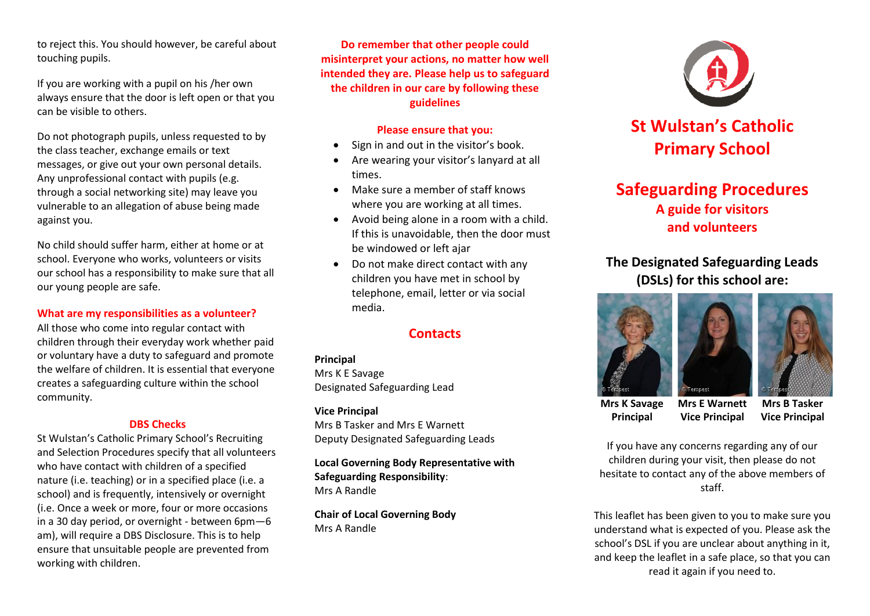to reject this. You should however, be careful about touching pupils.

If you are working with a pupil on his /her own always ensure that the door is left open or that you can be visible to others.

Do not photograph pupils, unless requested to by the class teacher, exchange emails or text messages, or give out your own personal details. Any unprofessional contact with pupils (e.g. through a social networking site) may leave you vulnerable to an allegation of abuse being made against you.

No child should suffer harm, either at home or at school. Everyone who works, volunteers or visits our school has a responsibility to make sure that all our young people are safe.

### **What are my responsibilities as a volunteer?**

All those who come into regular contact with children through their everyday work whether paid or voluntary have a duty to safeguard and promote the welfare of children. It is essential that everyone creates a safeguarding culture within the school community.

#### **DBS Checks**

St Wulstan's Catholic Primary School's Recruiting and Selection Procedures specify that all volunteers who have contact with children of a specified nature (i.e. teaching) or in a specified place (i.e. a school) and is frequently, intensively or overnight (i.e. Once a week or more, four or more occasions in a 30 day period, or overnight - between 6pm—6 am), will require a DBS Disclosure. This is to help ensure that unsuitable people are prevented from working with children.

**Do remember that other people could misinterpret your actions, no matter how well intended they are. Please help us to safeguard the children in our care by following these guidelines**

#### **Please ensure that you:**

- Sign in and out in the visitor's book.
- Are wearing your visitor's lanyard at all times.
- Make sure a member of staff knows where you are working at all times.
- Avoid being alone in a room with a child. If this is unavoidable, then the door must be windowed or left ajar
- Do not make direct contact with any children you have met in school by telephone, email, letter or via social media.

# **Contacts**

**Principal**  Mrs K E Savage Designated Safeguarding Lead

### **Vice Principal**

Mrs B Tasker and Mrs E Warnett Deputy Designated Safeguarding Leads

**Local Governing Body Representative with Safeguarding Responsibility**: Mrs A Randle

**Chair of Local Governing Body** Mrs A Randle



# **St Wulstan's Catholic Primary School**

# **Safeguarding Procedures A guide for visitors and volunteers**

**The Designated Safeguarding Leads (DSLs) for this school are:**





**Mrs K Savage Principal Mrs E Warnett Vice Principal**

**Mrs B Tasker Vice Principal**

If you have any concerns regarding any of our children during your visit, then please do not hesitate to contact any of the above members of staff.

This leaflet has been given to you to make sure you understand what is expected of you. Please ask the school's DSL if you are unclear about anything in it, and keep the leaflet in a safe place, so that you can read it again if you need to.